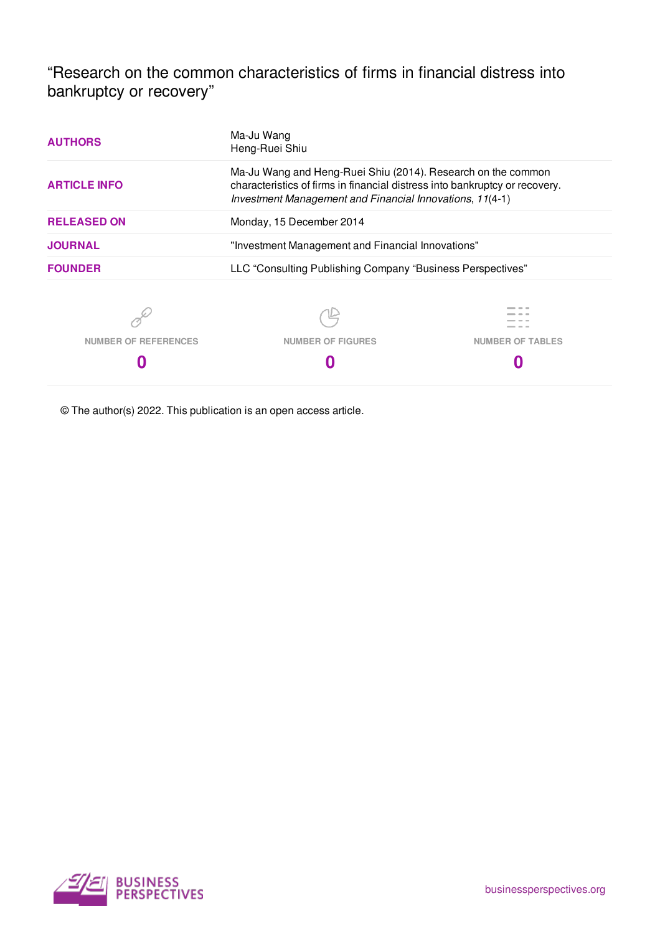"Research on the common characteristics of firms in financial distress into bankruptcy or recovery"

| <b>AUTHORS</b>              | Ma-Ju Wang<br>Heng-Ruei Shiu                                                                                                                                                                            |                         |  |  |  |  |  |
|-----------------------------|---------------------------------------------------------------------------------------------------------------------------------------------------------------------------------------------------------|-------------------------|--|--|--|--|--|
| <b>ARTICLE INFO</b>         | Ma-Ju Wang and Heng-Ruei Shiu (2014). Research on the common<br>characteristics of firms in financial distress into bankruptcy or recovery.<br>Investment Management and Financial Innovations, 11(4-1) |                         |  |  |  |  |  |
| <b>RELEASED ON</b>          | Monday, 15 December 2014                                                                                                                                                                                |                         |  |  |  |  |  |
| <b>JOURNAL</b>              | "Investment Management and Financial Innovations"                                                                                                                                                       |                         |  |  |  |  |  |
| <b>FOUNDER</b>              | LLC "Consulting Publishing Company "Business Perspectives"                                                                                                                                              |                         |  |  |  |  |  |
|                             |                                                                                                                                                                                                         |                         |  |  |  |  |  |
| <b>NUMBER OF REFERENCES</b> | <b>NUMBER OF FIGURES</b>                                                                                                                                                                                | <b>NUMBER OF TABLES</b> |  |  |  |  |  |
|                             |                                                                                                                                                                                                         |                         |  |  |  |  |  |

© The author(s) 2022. This publication is an open access article.

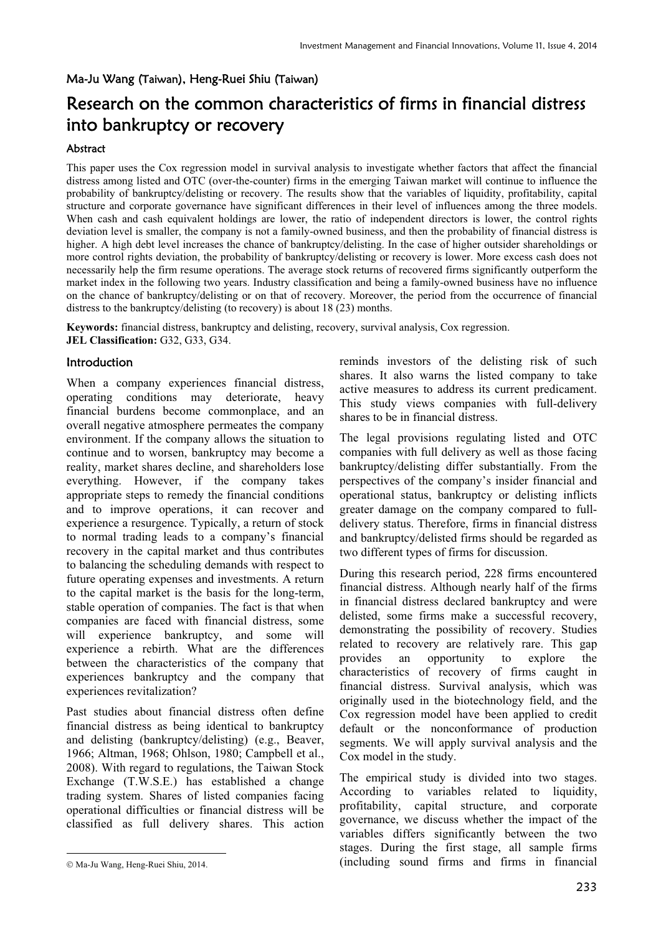#### Ma-Ju Wang (Taiwan), Heng-Ruei Shiu (Taiwan)

# Research on the common characteristics of firms in financial distress into bankruptcy or recovery

#### Abstract

This paper uses the Cox regression model in survival analysis to investigate whether factors that affect the financial distress among listed and OTC (over-the-counter) firms in the emerging Taiwan market will continue to influence the probability of bankruptcy/delisting or recovery. The results show that the variables of liquidity, profitability, capital structure and corporate governance have significant differences in their level of influences among the three models. When cash and cash equivalent holdings are lower, the ratio of independent directors is lower, the control rights deviation level is smaller, the company is not a family-owned business, and then the probability of financial distress is higher. A high debt level increases the chance of bankruptcy/delisting. In the case of higher outsider shareholdings or more control rights deviation, the probability of bankruptcy/delisting or recovery is lower. More excess cash does not necessarily help the firm resume operations. The average stock returns of recovered firms significantly outperform the market index in the following two years. Industry classification and being a family-owned business have no influence on the chance of bankruptcy/delisting or on that of recovery. Moreover, the period from the occurrence of financial distress to the bankruptcy/delisting (to recovery) is about 18 (23) months.

**Keywords:** financial distress, bankruptcy and delisting, recovery, survival analysis, Cox regression. **JEL Classification:** G32, G33, G34.

## Introduction

When a company experiences financial distress, operating conditions may deteriorate, heavy financial burdens become commonplace, and an overall negative atmosphere permeates the company environment. If the company allows the situation to continue and to worsen, bankruptcy may become a reality, market shares decline, and shareholders lose everything. However, if the company takes appropriate steps to remedy the financial conditions and to improve operations, it can recover and experience a resurgence. Typically, a return of stock to normal trading leads to a company's financial recovery in the capital market and thus contributes to balancing the scheduling demands with respect to future operating expenses and investments. A return to the capital market is the basis for the long-term, stable operation of companies. The fact is that when companies are faced with financial distress, some will experience bankruptcy, and some will experience a rebirth. What are the differences between the characteristics of the company that experiences bankruptcy and the company that experiences revitalization?

Past studies about financial distress often define financial distress as being identical to bankruptcy and delisting (bankruptcy/delisting) (e.g., Beaver, 1966; Altman, 1968; Ohlson, 1980; Campbell et al., 2008). With regard to regulations, the Taiwan Stock Exchange (T.W.S.E.) has established a change trading system. Shares of listed companies facing operational difficulties or financial distress will be classified as full delivery shares. This action

-

reminds investors of the delisting risk of such shares. It also warns the listed company to take active measures to address its current predicament. This study views companies with full-delivery shares to be in financial distress.

The legal provisions regulating listed and OTC companies with full delivery as well as those facing bankruptcy/delisting differ substantially. From the perspectives of the company's insider financial and operational status, bankruptcy or delisting inflicts greater damage on the company compared to fulldelivery status. Therefore, firms in financial distress and bankruptcy/delisted firms should be regarded as two different types of firms for discussion.

During this research period, 228 firms encountered financial distress. Although nearly half of the firms in financial distress declared bankruptcy and were delisted, some firms make a successful recovery, demonstrating the possibility of recovery. Studies related to recovery are relatively rare. This gap provides an opportunity to explore the characteristics of recovery of firms caught in financial distress. Survival analysis, which was originally used in the biotechnology field, and the Cox regression model have been applied to credit default or the nonconformance of production segments. We will apply survival analysis and the Cox model in the study.

The empirical study is divided into two stages. According to variables related to liquidity, profitability, capital structure, and corporate governance, we discuss whether the impact of the variables differs significantly between the two stages. During the first stage, all sample firms (including sound firms and firms in financial

Ma-Ju Wang, Heng-Ruei Shiu, 2014.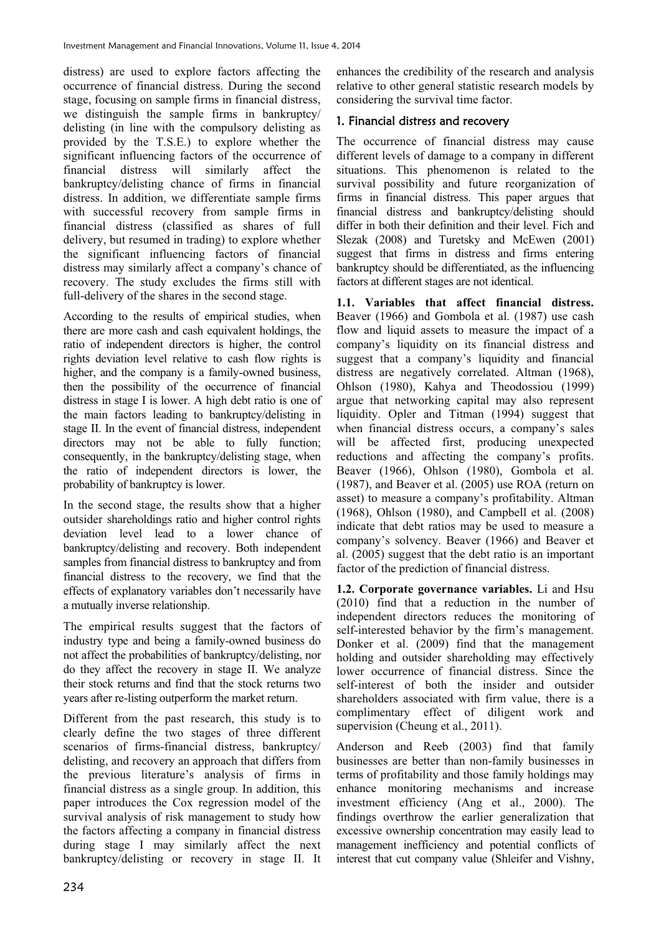distress) are used to explore factors affecting the occurrence of financial distress. During the second stage, focusing on sample firms in financial distress, we distinguish the sample firms in bankruptcy/ delisting (in line with the compulsory delisting as provided by the T.S.E.) to explore whether the significant influencing factors of the occurrence of financial distress will similarly affect the bankruptcy/delisting chance of firms in financial distress. In addition, we differentiate sample firms with successful recovery from sample firms in financial distress (classified as shares of full delivery, but resumed in trading) to explore whether the significant influencing factors of financial distress may similarly affect a company's chance of recovery. The study excludes the firms still with full-delivery of the shares in the second stage.

According to the results of empirical studies, when there are more cash and cash equivalent holdings, the ratio of independent directors is higher, the control rights deviation level relative to cash flow rights is higher, and the company is a family-owned business, then the possibility of the occurrence of financial distress in stage I is lower. A high debt ratio is one of the main factors leading to bankruptcy/delisting in stage II. In the event of financial distress, independent directors may not be able to fully function; consequently, in the bankruptcy/delisting stage, when the ratio of independent directors is lower, the probability of bankruptcy is lower.

In the second stage, the results show that a higher outsider shareholdings ratio and higher control rights deviation level lead to a lower chance of bankruptcy/delisting and recovery. Both independent samples from financial distress to bankruptcy and from financial distress to the recovery, we find that the effects of explanatory variables don't necessarily have a mutually inverse relationship.

The empirical results suggest that the factors of industry type and being a family-owned business do not affect the probabilities of bankruptcy/delisting, nor do they affect the recovery in stage II. We analyze their stock returns and find that the stock returns two years after re-listing outperform the market return.

Different from the past research, this study is to clearly define the two stages of three different scenarios of firms-financial distress, bankruptcy/ delisting, and recovery an approach that differs from the previous literature's analysis of firms in financial distress as a single group. In addition, this paper introduces the Cox regression model of the survival analysis of risk management to study how the factors affecting a company in financial distress during stage I may similarly affect the next bankruptcy/delisting or recovery in stage II. It

enhances the credibility of the research and analysis relative to other general statistic research models by considering the survival time factor.

## 1. Financial distress and recovery

The occurrence of financial distress may cause different levels of damage to a company in different situations. This phenomenon is related to the survival possibility and future reorganization of firms in financial distress. This paper argues that financial distress and bankruptcy/delisting should differ in both their definition and their level. Fich and Slezak (2008) and Turetsky and McEwen (2001) suggest that firms in distress and firms entering bankruptcy should be differentiated, as the influencing factors at different stages are not identical.

**1.1. Variables that affect financial distress.** Beaver (1966) and Gombola et al. (1987) use cash flow and liquid assets to measure the impact of a company's liquidity on its financial distress and suggest that a company's liquidity and financial distress are negatively correlated. Altman (1968), Ohlson (1980), Kahya and Theodossiou (1999) argue that networking capital may also represent liquidity. Opler and Titman (1994) suggest that when financial distress occurs, a company's sales will be affected first, producing unexpected reductions and affecting the company's profits. Beaver (1966), Ohlson (1980), Gombola et al. (1987), and Beaver et al. (2005) use ROA (return on asset) to measure a company's profitability. Altman (1968), Ohlson (1980), and Campbell et al. (2008) indicate that debt ratios may be used to measure a company's solvency. Beaver (1966) and Beaver et al. (2005) suggest that the debt ratio is an important factor of the prediction of financial distress.

**1.2. Corporate governance variables.** Li and Hsu (2010) find that a reduction in the number of independent directors reduces the monitoring of self-interested behavior by the firm's management. Donker et al. (2009) find that the management holding and outsider shareholding may effectively lower occurrence of financial distress. Since the self-interest of both the insider and outsider shareholders associated with firm value, there is a complimentary effect of diligent work and supervision (Cheung et al., 2011).

Anderson and Reeb (2003) find that family businesses are better than non-family businesses in terms of profitability and those family holdings may enhance monitoring mechanisms and increase investment efficiency (Ang et al., 2000). The findings overthrow the earlier generalization that excessive ownership concentration may easily lead to management inefficiency and potential conflicts of interest that cut company value (Shleifer and Vishny,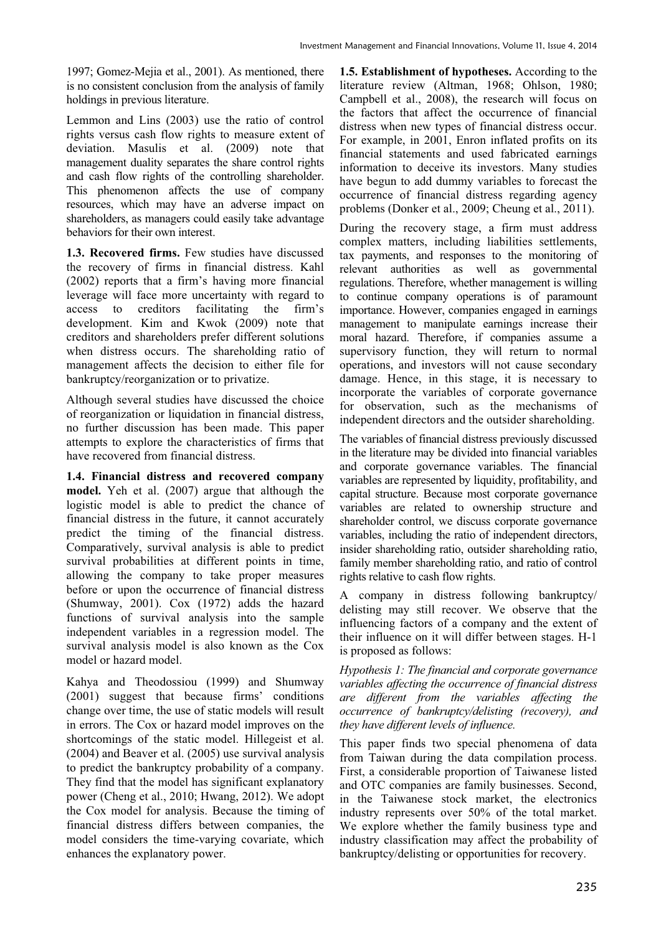1997; Gomez-Mejia et al., 2001). As mentioned, there is no consistent conclusion from the analysis of family holdings in previous literature.

Lemmon and Lins (2003) use the ratio of control rights versus cash flow rights to measure extent of deviation. Masulis et al. (2009) note that management duality separates the share control rights and cash flow rights of the controlling shareholder. This phenomenon affects the use of company resources, which may have an adverse impact on shareholders, as managers could easily take advantage behaviors for their own interest.

**1.3. Recovered firms.** Few studies have discussed the recovery of firms in financial distress. Kahl (2002) reports that a firm's having more financial leverage will face more uncertainty with regard to access to creditors facilitating the firm's development. Kim and Kwok (2009) note that creditors and shareholders prefer different solutions when distress occurs. The shareholding ratio of management affects the decision to either file for bankruptcy/reorganization or to privatize.

Although several studies have discussed the choice of reorganization or liquidation in financial distress, no further discussion has been made. This paper attempts to explore the characteristics of firms that have recovered from financial distress.

**1.4. Financial distress and recovered company model.** Yeh et al. (2007) argue that although the logistic model is able to predict the chance of financial distress in the future, it cannot accurately predict the timing of the financial distress. Comparatively, survival analysis is able to predict survival probabilities at different points in time, allowing the company to take proper measures before or upon the occurrence of financial distress (Shumway, 2001). Cox (1972) adds the hazard functions of survival analysis into the sample independent variables in a regression model. The survival analysis model is also known as the Cox model or hazard model.

Kahya and Theodossiou (1999) and Shumway (2001) suggest that because firms' conditions change over time, the use of static models will result in errors. The Cox or hazard model improves on the shortcomings of the static model. Hillegeist et al. (2004) and Beaver et al. (2005) use survival analysis to predict the bankruptcy probability of a company. They find that the model has significant explanatory power (Cheng et al., 2010; Hwang, 2012). We adopt the Cox model for analysis. Because the timing of financial distress differs between companies, the model considers the time-varying covariate, which enhances the explanatory power.

**1.5. Establishment of hypotheses.** According to the literature review (Altman, 1968; Ohlson, 1980; Campbell et al., 2008), the research will focus on the factors that affect the occurrence of financial distress when new types of financial distress occur. For example, in 2001, Enron inflated profits on its financial statements and used fabricated earnings information to deceive its investors. Many studies have begun to add dummy variables to forecast the occurrence of financial distress regarding agency problems (Donker et al., 2009; Cheung et al., 2011).

During the recovery stage, a firm must address complex matters, including liabilities settlements, tax payments, and responses to the monitoring of relevant authorities as well as governmental regulations. Therefore, whether management is willing to continue company operations is of paramount importance. However, companies engaged in earnings management to manipulate earnings increase their moral hazard. Therefore, if companies assume a supervisory function, they will return to normal operations, and investors will not cause secondary damage. Hence, in this stage, it is necessary to incorporate the variables of corporate governance for observation, such as the mechanisms of independent directors and the outsider shareholding.

The variables of financial distress previously discussed in the literature may be divided into financial variables and corporate governance variables. The financial variables are represented by liquidity, profitability, and capital structure. Because most corporate governance variables are related to ownership structure and shareholder control, we discuss corporate governance variables, including the ratio of independent directors, insider shareholding ratio, outsider shareholding ratio, family member shareholding ratio, and ratio of control rights relative to cash flow rights.

A company in distress following bankruptcy/ delisting may still recover. We observe that the influencing factors of a company and the extent of their influence on it will differ between stages. H-1 is proposed as follows:

*Hypothesis 1: The financial and corporate governance variables affecting the occurrence of financial distress are different from the variables affecting the occurrence of bankruptcy/delisting (recovery), and they have different levels of influence.* 

This paper finds two special phenomena of data from Taiwan during the data compilation process. First, a considerable proportion of Taiwanese listed and OTC companies are family businesses. Second, in the Taiwanese stock market, the electronics industry represents over 50% of the total market. We explore whether the family business type and industry classification may affect the probability of bankruptcy/delisting or opportunities for recovery.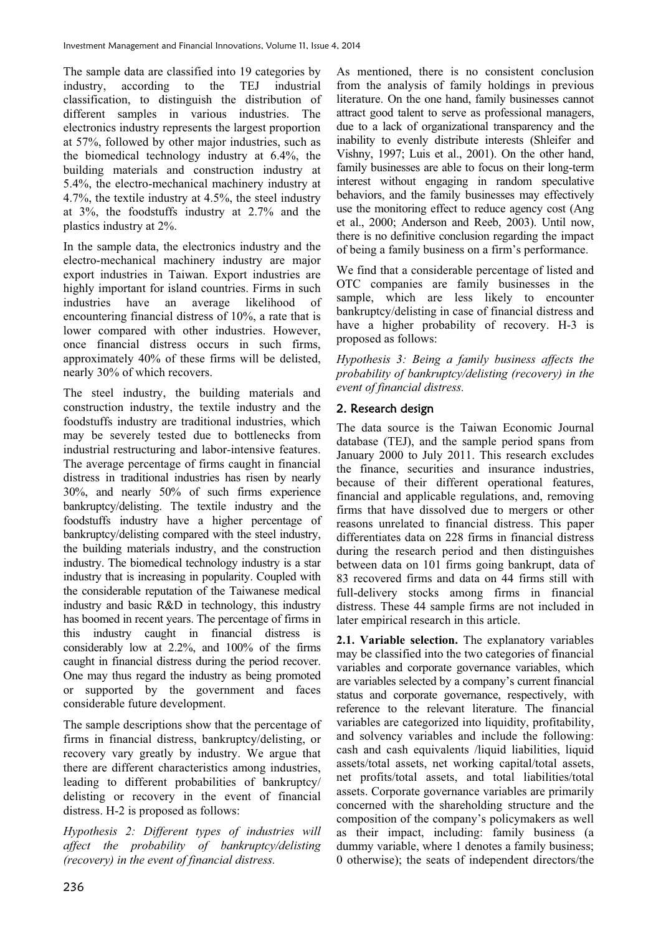The sample data are classified into 19 categories by industry, according to the TEJ industrial classification, to distinguish the distribution of different samples in various industries. The electronics industry represents the largest proportion at 57%, followed by other major industries, such as the biomedical technology industry at 6.4%, the building materials and construction industry at 5.4%, the electro-mechanical machinery industry at 4.7%, the textile industry at 4.5%, the steel industry at 3%, the foodstuffs industry at 2.7% and the plastics industry at 2%.

In the sample data, the electronics industry and the electro-mechanical machinery industry are major export industries in Taiwan. Export industries are highly important for island countries. Firms in such industries have an average likelihood of encountering financial distress of 10%, a rate that is lower compared with other industries. However, once financial distress occurs in such firms, approximately 40% of these firms will be delisted, nearly 30% of which recovers.

The steel industry, the building materials and construction industry, the textile industry and the foodstuffs industry are traditional industries, which may be severely tested due to bottlenecks from industrial restructuring and labor-intensive features. The average percentage of firms caught in financial distress in traditional industries has risen by nearly 30%, and nearly 50% of such firms experience bankruptcy/delisting. The textile industry and the foodstuffs industry have a higher percentage of bankruptcy/delisting compared with the steel industry, the building materials industry, and the construction industry. The biomedical technology industry is a star industry that is increasing in popularity. Coupled with the considerable reputation of the Taiwanese medical industry and basic R&D in technology, this industry has boomed in recent years. The percentage of firms in this industry caught in financial distress is considerably low at 2.2%, and 100% of the firms caught in financial distress during the period recover. One may thus regard the industry as being promoted or supported by the government and faces considerable future development.

The sample descriptions show that the percentage of firms in financial distress, bankruptcy/delisting, or recovery vary greatly by industry. We argue that there are different characteristics among industries, leading to different probabilities of bankruptcy/ delisting or recovery in the event of financial distress. H-2 is proposed as follows:

*Hypothesis 2: Different types of industries will affect the probability of bankruptcy/delisting (recovery) in the event of financial distress.* 

As mentioned, there is no consistent conclusion from the analysis of family holdings in previous literature. On the one hand, family businesses cannot attract good talent to serve as professional managers, due to a lack of organizational transparency and the inability to evenly distribute interests (Shleifer and Vishny, 1997; Luis et al., 2001). On the other hand, family businesses are able to focus on their long-term interest without engaging in random speculative behaviors, and the family businesses may effectively use the monitoring effect to reduce agency cost (Ang et al., 2000; Anderson and Reeb, 2003). Until now, there is no definitive conclusion regarding the impact of being a family business on a firm's performance.

We find that a considerable percentage of listed and OTC companies are family businesses in the sample, which are less likely to encounter bankruptcy/delisting in case of financial distress and have a higher probability of recovery. H-3 is proposed as follows:

*Hypothesis 3: Being a family business affects the probability of bankruptcy/delisting (recovery) in the event of financial distress.* 

## 2. Research design

The data source is the Taiwan Economic Journal database (TEJ), and the sample period spans from January 2000 to July 2011. This research excludes the finance, securities and insurance industries, because of their different operational features, financial and applicable regulations, and, removing firms that have dissolved due to mergers or other reasons unrelated to financial distress. This paper differentiates data on 228 firms in financial distress during the research period and then distinguishes between data on 101 firms going bankrupt, data of 83 recovered firms and data on 44 firms still with full-delivery stocks among firms in financial distress. These 44 sample firms are not included in later empirical research in this article.

**2.1. Variable selection.** The explanatory variables may be classified into the two categories of financial variables and corporate governance variables, which are variables selected by a company's current financial status and corporate governance, respectively, with reference to the relevant literature. The financial variables are categorized into liquidity, profitability, and solvency variables and include the following: cash and cash equivalents /liquid liabilities, liquid assets/total assets, net working capital/total assets, net profits/total assets, and total liabilities/total assets. Corporate governance variables are primarily concerned with the shareholding structure and the composition of the company's policymakers as well as their impact, including: family business (a dummy variable, where 1 denotes a family business; 0 otherwise); the seats of independent directors/the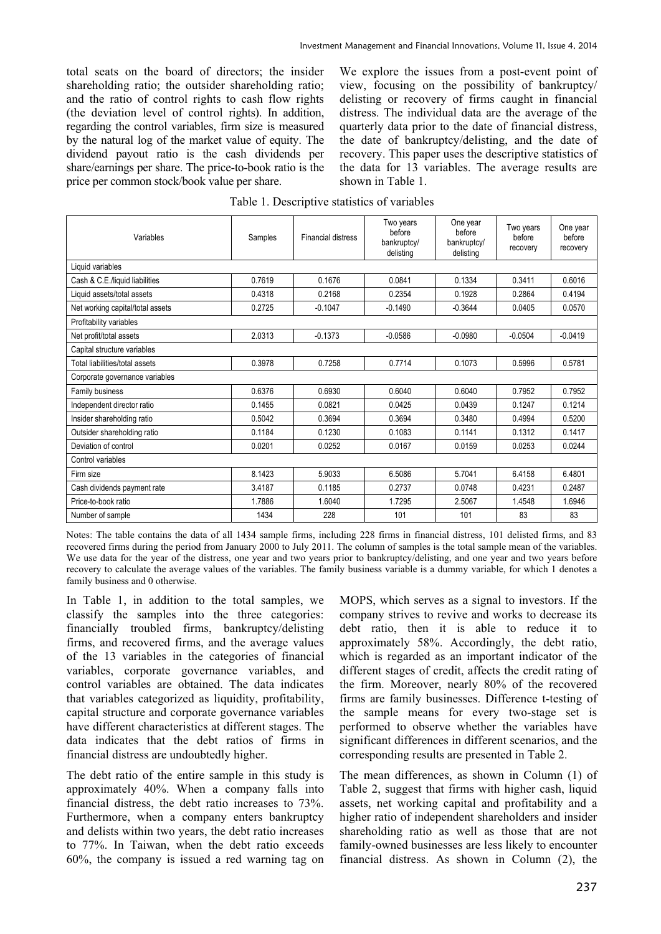total seats on the board of directors; the insider shareholding ratio; the outsider shareholding ratio; and the ratio of control rights to cash flow rights (the deviation level of control rights). In addition, regarding the control variables, firm size is measured by the natural log of the market value of equity. The dividend payout ratio is the cash dividends per share/earnings per share. The price-to-book ratio is the price per common stock/book value per share.

We explore the issues from a post-event point of view, focusing on the possibility of bankruptcy/ delisting or recovery of firms caught in financial distress. The individual data are the average of the quarterly data prior to the date of financial distress, the date of bankruptcy/delisting, and the date of recovery. This paper uses the descriptive statistics of the data for 13 variables. The average results are shown in Table 1.

|  | Table 1. Descriptive statistics of variables |  |  |
|--|----------------------------------------------|--|--|
|  |                                              |  |  |

| Variables                        | Samples | <b>Financial distress</b> | Two years<br>before<br>bankruptcy/<br>delisting | One year<br>before<br>bankruptcy/<br>delisting | Two years<br>before<br>recovery | One year<br>before<br>recovery |
|----------------------------------|---------|---------------------------|-------------------------------------------------|------------------------------------------------|---------------------------------|--------------------------------|
| Liquid variables                 |         |                           |                                                 |                                                |                                 |                                |
| Cash & C.E./liquid liabilities   | 0.7619  | 0.1676                    | 0.0841                                          | 0.1334                                         | 0.3411                          | 0.6016                         |
| Liquid assets/total assets       | 0.4318  | 0.2168                    | 0.2354                                          | 0.1928                                         | 0.2864                          | 0.4194                         |
| Net working capital/total assets | 0.2725  | $-0.1047$                 | $-0.1490$                                       | $-0.3644$                                      | 0.0405                          | 0.0570                         |
| Profitability variables          |         |                           |                                                 |                                                |                                 |                                |
| Net profit/total assets          | 2.0313  | $-0.1373$                 | $-0.0586$                                       | $-0.0980$                                      | $-0.0504$                       | $-0.0419$                      |
| Capital structure variables      |         |                           |                                                 |                                                |                                 |                                |
| Total liabilities/total assets   | 0.3978  | 0.7258                    | 0.7714                                          | 0.1073                                         | 0.5996                          | 0.5781                         |
| Corporate governance variables   |         |                           |                                                 |                                                |                                 |                                |
| Family business                  | 0.6376  | 0.6930                    | 0.6040                                          | 0.6040                                         | 0.7952                          | 0.7952                         |
| Independent director ratio       | 0.1455  | 0.0821                    | 0.0425                                          | 0.0439                                         | 0.1247                          | 0.1214                         |
| Insider shareholding ratio       | 0.5042  | 0.3694                    | 0.3694                                          | 0.3480                                         | 0.4994                          | 0.5200                         |
| Outsider shareholding ratio      | 0.1184  | 0.1230                    | 0.1083                                          | 0.1141                                         | 0.1312                          | 0.1417                         |
| Deviation of control             | 0.0201  | 0.0252                    | 0.0167                                          | 0.0159                                         | 0.0253                          | 0.0244                         |
| Control variables                |         |                           |                                                 |                                                |                                 |                                |
| Firm size                        | 8.1423  | 5.9033                    | 6.5086                                          | 5.7041                                         | 6.4158                          | 6.4801                         |
| Cash dividends payment rate      | 3.4187  | 0.1185                    | 0.2737                                          | 0.0748                                         | 0.4231                          | 0.2487                         |
| Price-to-book ratio              | 1.7886  | 1.6040                    | 1.7295                                          | 2.5067                                         | 1.4548                          | 1.6946                         |
| Number of sample                 | 1434    | 228                       | 101                                             | 101                                            | 83                              | 83                             |

Notes: The table contains the data of all 1434 sample firms, including 228 firms in financial distress, 101 delisted firms, and 83 recovered firms during the period from January 2000 to July 2011. The column of samples is the total sample mean of the variables. We use data for the year of the distress, one year and two years prior to bankruptcy/delisting, and one year and two years before recovery to calculate the average values of the variables. The family business variable is a dummy variable, for which 1 denotes a family business and 0 otherwise.

In Table 1, in addition to the total samples, we classify the samples into the three categories: financially troubled firms, bankruptcy/delisting firms, and recovered firms, and the average values of the 13 variables in the categories of financial variables, corporate governance variables, and control variables are obtained. The data indicates that variables categorized as liquidity, profitability, capital structure and corporate governance variables have different characteristics at different stages. The data indicates that the debt ratios of firms in financial distress are undoubtedly higher.

The debt ratio of the entire sample in this study is approximately 40%. When a company falls into financial distress, the debt ratio increases to 73%. Furthermore, when a company enters bankruptcy and delists within two years, the debt ratio increases to 77%. In Taiwan, when the debt ratio exceeds 60%, the company is issued a red warning tag on MOPS, which serves as a signal to investors. If the company strives to revive and works to decrease its debt ratio, then it is able to reduce it to approximately 58%. Accordingly, the debt ratio, which is regarded as an important indicator of the different stages of credit, affects the credit rating of the firm. Moreover, nearly 80% of the recovered firms are family businesses. Difference t-testing of the sample means for every two-stage set is performed to observe whether the variables have significant differences in different scenarios, and the corresponding results are presented in Table 2.

The mean differences, as shown in Column (1) of Table 2, suggest that firms with higher cash, liquid assets, net working capital and profitability and a higher ratio of independent shareholders and insider shareholding ratio as well as those that are not family-owned businesses are less likely to encounter financial distress. As shown in Column (2), the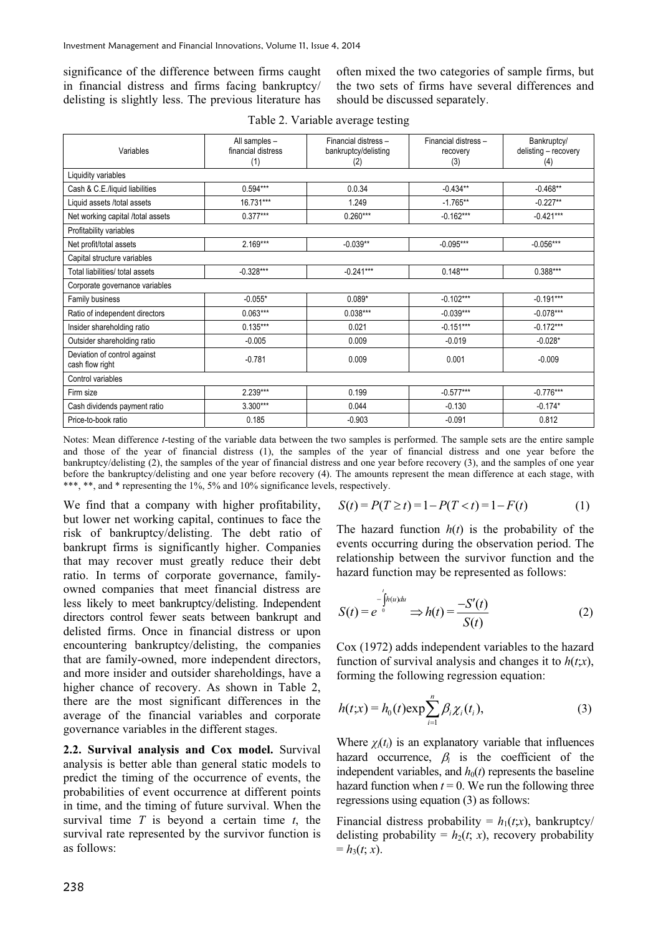significance of the difference between firms caught in financial distress and firms facing bankruptcy/ delisting is slightly less. The previous literature has

often mixed the two categories of sample firms, but the two sets of firms have several differences and should be discussed separately.

| Variables                                       | All samples -<br>financial distress<br>(1) | Financial distress-<br>bankruptcy/delisting<br>(2) | Financial distress-<br>recovery<br>(3) | Bankruptcy/<br>delisting - recovery<br>(4) |
|-------------------------------------------------|--------------------------------------------|----------------------------------------------------|----------------------------------------|--------------------------------------------|
| Liquidity variables                             |                                            |                                                    |                                        |                                            |
| Cash & C.E./liquid liabilities                  | $0.594***$                                 | 0.0.34                                             | $-0.434**$                             | $-0.468**$                                 |
| Liquid assets /total assets                     | 16.731***                                  | 1.249                                              | $-1.765**$                             | $-0.227**$                                 |
| Net working capital /total assets               | $0.377***$                                 | $0.260***$                                         | $-0.162***$                            | $-0.421***$                                |
| Profitability variables                         |                                            |                                                    |                                        |                                            |
| Net profit/total assets                         | $2.169***$                                 | $-0.039**$                                         | $-0.095***$                            | $-0.056***$                                |
| Capital structure variables                     |                                            |                                                    |                                        |                                            |
| Total liabilities/ total assets                 | $-0.328***$                                | $-0.241***$                                        | $0.148***$                             | $0.388***$                                 |
| Corporate governance variables                  |                                            |                                                    |                                        |                                            |
| Family business                                 | $-0.055*$                                  | $0.089*$                                           | $-0.102***$                            | $-0.191***$                                |
| Ratio of independent directors                  | $0.063***$                                 | $0.038***$                                         | $-0.039***$                            | $-0.078***$                                |
| Insider shareholding ratio                      | $0.135***$                                 | 0.021                                              | $-0.151***$                            | $-0.172***$                                |
| Outsider shareholding ratio                     | $-0.005$                                   | 0.009                                              | $-0.019$                               | $-0.028*$                                  |
| Deviation of control against<br>cash flow right | $-0.781$                                   | 0.009                                              | 0.001                                  | $-0.009$                                   |
| Control variables                               |                                            |                                                    |                                        |                                            |
| Firm size                                       | $2.239***$                                 | 0.199                                              | $-0.577***$                            | $-0.776***$                                |
| Cash dividends payment ratio                    | $3.300***$                                 | 0.044                                              | $-0.130$                               | $-0.174*$                                  |
| Price-to-book ratio                             | 0.185                                      | $-0.903$                                           | $-0.091$                               | 0.812                                      |

Notes: Mean difference *t*-testing of the variable data between the two samples is performed. The sample sets are the entire sample and those of the year of financial distress (1), the samples of the year of financial distress and one year before the bankruptcy/delisting (2), the samples of the year of financial distress and one year before recovery (3), and the samples of one year before the bankruptcy/delisting and one year before recovery (4). The amounts represent the mean difference at each stage, with \*\*\*, \*\*, and \* representing the 1%, 5% and 10% significance levels, respectively.

We find that a company with higher profitability, but lower net working capital, continues to face the risk of bankruptcy/delisting. The debt ratio of bankrupt firms is significantly higher. Companies that may recover must greatly reduce their debt ratio. In terms of corporate governance, familyowned companies that meet financial distress are less likely to meet bankruptcy/delisting. Independent directors control fewer seats between bankrupt and delisted firms. Once in financial distress or upon encountering bankruptcy/delisting, the companies that are family-owned, more independent directors, and more insider and outsider shareholdings, have a higher chance of recovery. As shown in Table 2, there are the most significant differences in the average of the financial variables and corporate governance variables in the different stages.

**2.2. Survival analysis and Cox model.** Survival analysis is better able than general static models to predict the timing of the occurrence of events, the probabilities of event occurrence at different points in time, and the timing of future survival. When the survival time *T* is beyond a certain time *t*, the survival rate represented by the survivor function is as follows:

$$
S(t) = P(T \ge t) = 1 - P(T < t) = 1 - F(t) \tag{1}
$$

The hazard function  $h(t)$  is the probability of the events occurring during the observation period. The relationship between the survivor function and the hazard function may be represented as follows:

$$
S(t) = e^{-\int_0^t h(u)du} \Rightarrow h(t) = \frac{-S'(t)}{S(t)}
$$
 (2)

Cox (1972) adds independent variables to the hazard function of survival analysis and changes it to *h*(*t*;*x*), forming the following regression equation:

$$
h(t; x) = h_0(t) \exp \sum_{i=1}^n \beta_i \chi_i(t_i), \qquad (3)
$$

Where  $\chi_i(t_i)$  is an explanatory variable that influences hazard occurrence,  $\beta_i$  is the coefficient of the independent variables, and  $h_0(t)$  represents the baseline hazard function when  $t = 0$ . We run the following three regressions using equation (3) as follows:

Financial distress probability =  $h_1(t; x)$ , bankruptcy/ delisting probability =  $h_2(t; x)$ , recovery probability  $= h_3(t; x)$ .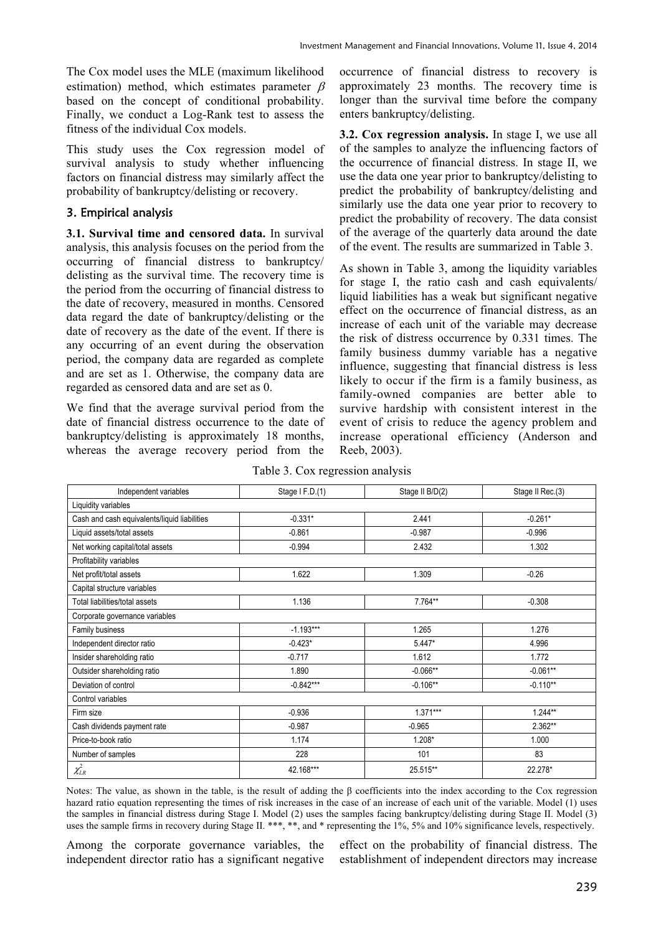The Cox model uses the MLE (maximum likelihood estimation) method, which estimates parameter  $\beta$ based on the concept of conditional probability. Finally, we conduct a Log-Rank test to assess the fitness of the individual Cox models.

This study uses the Cox regression model of survival analysis to study whether influencing factors on financial distress may similarly affect the probability of bankruptcy/delisting or recovery.

## 3. Empirical analysis

**3.1. Survival time and censored data.** In survival analysis, this analysis focuses on the period from the occurring of financial distress to bankruptcy/ delisting as the survival time. The recovery time is the period from the occurring of financial distress to the date of recovery, measured in months. Censored data regard the date of bankruptcy/delisting or the date of recovery as the date of the event. If there is any occurring of an event during the observation period, the company data are regarded as complete and are set as 1. Otherwise, the company data are regarded as censored data and are set as 0.

We find that the average survival period from the date of financial distress occurrence to the date of bankruptcy/delisting is approximately 18 months, whereas the average recovery period from the occurrence of financial distress to recovery is approximately 23 months. The recovery time is longer than the survival time before the company enters bankruptcy/delisting.

**3.2. Cox regression analysis.** In stage I, we use all of the samples to analyze the influencing factors of the occurrence of financial distress. In stage II, we use the data one year prior to bankruptcy/delisting to predict the probability of bankruptcy/delisting and similarly use the data one year prior to recovery to predict the probability of recovery. The data consist of the average of the quarterly data around the date of the event. The results are summarized in Table 3.

As shown in Table 3, among the liquidity variables for stage I, the ratio cash and cash equivalents/ liquid liabilities has a weak but significant negative effect on the occurrence of financial distress, as an increase of each unit of the variable may decrease the risk of distress occurrence by 0.331 times. The family business dummy variable has a negative influence, suggesting that financial distress is less likely to occur if the firm is a family business, as family-owned companies are better able to survive hardship with consistent interest in the event of crisis to reduce the agency problem and increase operational efficiency (Anderson and Reeb, 2003).

| Independent variables                        | Stage I F.D.(1) | Stage II B/D(2) | Stage II Rec.(3) |
|----------------------------------------------|-----------------|-----------------|------------------|
| Liquidity variables                          |                 |                 |                  |
| Cash and cash equivalents/liquid liabilities | $-0.331*$       | 2.441           | $-0.261*$        |
| Liquid assets/total assets                   | $-0.861$        | $-0.987$        | $-0.996$         |
| Net working capital/total assets             | $-0.994$        | 2.432           | 1.302            |
| Profitability variables                      |                 |                 |                  |
| Net profit/total assets                      | 1.622           | 1.309           | $-0.26$          |
| Capital structure variables                  |                 |                 |                  |
| Total liabilities/total assets               | 1.136           | 7.764**         | $-0.308$         |
| Corporate governance variables               |                 |                 |                  |
| Family business                              | $-1.193***$     | 1.265           | 1.276            |
| Independent director ratio                   | $-0.423*$       | $5.447*$        | 4.996            |
| Insider shareholding ratio                   | $-0.717$        | 1.612           | 1.772            |
| Outsider shareholding ratio                  | 1.890           | $-0.066**$      | $-0.061**$       |
| Deviation of control                         | $-0.842***$     | $-0.106**$      | $-0.110**$       |
| Control variables                            |                 |                 |                  |
| Firm size                                    | $-0.936$        | $1.371***$      | $1.244**$        |
| Cash dividends payment rate                  | $-0.987$        | $-0.965$        | $2.362**$        |
| Price-to-book ratio                          | 1.174           | $1.208*$        | 1.000            |
| Number of samples                            | 228             | 101             | 83               |
| $\chi^2_{LR}$                                | 42.168***       | 25.515**        | 22.278*          |

|  | Table 3. Cox regression analysis |  |
|--|----------------------------------|--|
|  |                                  |  |
|  |                                  |  |

Notes: The value, as shown in the table, is the result of adding the  $\beta$  coefficients into the index according to the Cox regression hazard ratio equation representing the times of risk increases in the case of an increase of each unit of the variable. Model (1) uses the samples in financial distress during Stage I. Model (2) uses the samples facing bankruptcy/delisting during Stage II. Model (3) uses the sample firms in recovery during Stage II. \*\*\*, \*\*, and \* representing the 1%, 5% and 10% significance levels, respectively.

Among the corporate governance variables, the independent director ratio has a significant negative effect on the probability of financial distress. The establishment of independent directors may increase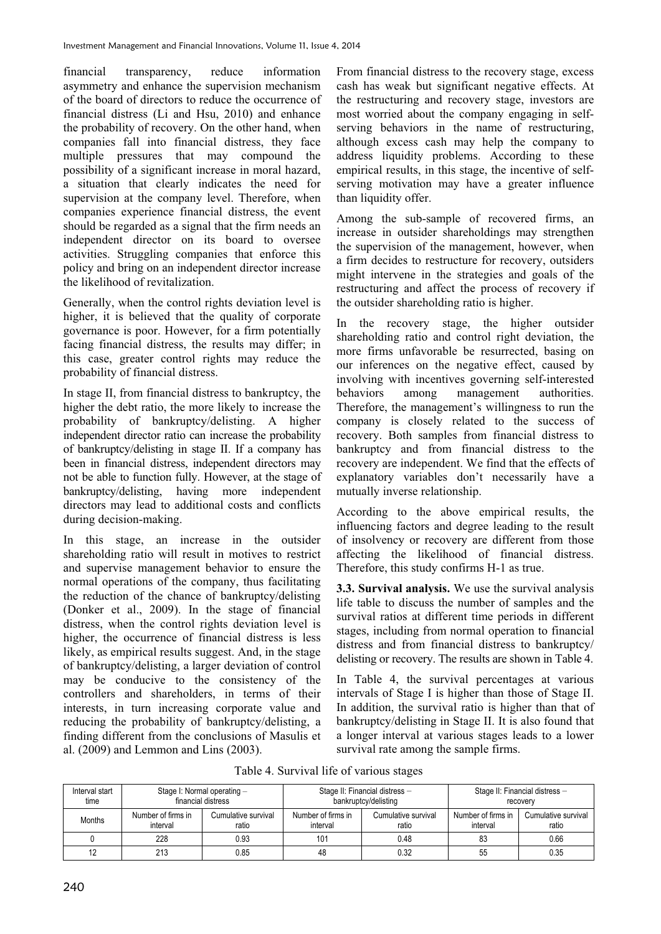financial transparency, reduce information asymmetry and enhance the supervision mechanism of the board of directors to reduce the occurrence of financial distress (Li and Hsu, 2010) and enhance the probability of recovery. On the other hand, when companies fall into financial distress, they face multiple pressures that may compound the possibility of a significant increase in moral hazard, a situation that clearly indicates the need for supervision at the company level. Therefore, when companies experience financial distress, the event should be regarded as a signal that the firm needs an independent director on its board to oversee activities. Struggling companies that enforce this policy and bring on an independent director increase the likelihood of revitalization.

Generally, when the control rights deviation level is higher, it is believed that the quality of corporate governance is poor. However, for a firm potentially facing financial distress, the results may differ; in this case, greater control rights may reduce the probability of financial distress.

In stage II, from financial distress to bankruptcy, the higher the debt ratio, the more likely to increase the probability of bankruptcy/delisting. A higher independent director ratio can increase the probability of bankruptcy/delisting in stage II. If a company has been in financial distress, independent directors may not be able to function fully. However, at the stage of bankruptcy/delisting, having more independent directors may lead to additional costs and conflicts during decision-making.

In this stage, an increase in the outsider shareholding ratio will result in motives to restrict and supervise management behavior to ensure the normal operations of the company, thus facilitating the reduction of the chance of bankruptcy/delisting (Donker et al., 2009). In the stage of financial distress, when the control rights deviation level is higher, the occurrence of financial distress is less likely, as empirical results suggest. And, in the stage of bankruptcy/delisting, a larger deviation of control may be conducive to the consistency of the controllers and shareholders, in terms of their interests, in turn increasing corporate value and reducing the probability of bankruptcy/delisting, a finding different from the conclusions of Masulis et al. (2009) and Lemmon and Lins (2003).

From financial distress to the recovery stage, excess cash has weak but significant negative effects. At the restructuring and recovery stage, investors are most worried about the company engaging in selfserving behaviors in the name of restructuring, although excess cash may help the company to address liquidity problems. According to these empirical results, in this stage, the incentive of selfserving motivation may have a greater influence than liquidity offer.

Among the sub-sample of recovered firms, an increase in outsider shareholdings may strengthen the supervision of the management, however, when a firm decides to restructure for recovery, outsiders might intervene in the strategies and goals of the restructuring and affect the process of recovery if the outsider shareholding ratio is higher.

In the recovery stage, the higher outsider shareholding ratio and control right deviation, the more firms unfavorable be resurrected, basing on our inferences on the negative effect, caused by involving with incentives governing self-interested behaviors among management authorities. Therefore, the management's willingness to run the company is closely related to the success of recovery. Both samples from financial distress to bankruptcy and from financial distress to the recovery are independent. We find that the effects of explanatory variables don't necessarily have a mutually inverse relationship.

According to the above empirical results, the influencing factors and degree leading to the result of insolvency or recovery are different from those affecting the likelihood of financial distress. Therefore, this study confirms H-1 as true.

**3.3. Survival analysis.** We use the survival analysis life table to discuss the number of samples and the survival ratios at different time periods in different stages, including from normal operation to financial distress and from financial distress to bankruptcy/ delisting or recovery. The results are shown in Table 4.

In Table 4, the survival percentages at various intervals of Stage I is higher than those of Stage II. In addition, the survival ratio is higher than that of bankruptcy/delisting in Stage II. It is also found that a longer interval at various stages leads to a lower survival rate among the sample firms.

Table 4. Survival life of various stages

| Interval start<br>time | Stage I: Normal operating -<br>financial distress              |      |                                | Stage II: Financial distress -<br>bankruptcy/delisting | Stage II: Financial distress -<br>recovery |                              |  |
|------------------------|----------------------------------------------------------------|------|--------------------------------|--------------------------------------------------------|--------------------------------------------|------------------------------|--|
| <b>Months</b>          | Number of firms in<br>Cumulative survival<br>interval<br>ratio |      | Number of firms in<br>interval | Cumulative survival<br>ratio                           | Number of firms in<br>interval             | Cumulative survival<br>ratio |  |
|                        | 228                                                            | 0.93 | 101                            | 0.48                                                   | 83                                         | 0.66                         |  |
|                        | 213                                                            | 0.85 | 48                             | 0.32                                                   | 55                                         | 0.35                         |  |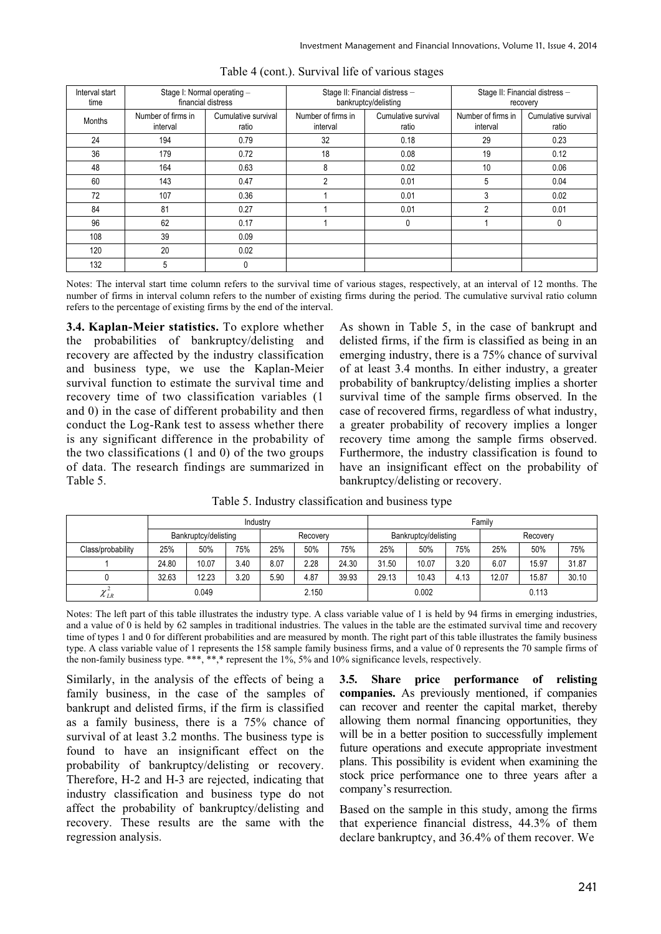| Interval start<br>time | Stage I: Normal operating -<br>financial distress |                              |                                                                | Stage II: Financial distress -<br>bankruptcy/delisting | Stage II: Financial distress -<br>recovery |                              |  |
|------------------------|---------------------------------------------------|------------------------------|----------------------------------------------------------------|--------------------------------------------------------|--------------------------------------------|------------------------------|--|
| Months                 | Number of firms in<br>interval                    | Cumulative survival<br>ratio | Number of firms in<br>Cumulative survival<br>interval<br>ratio |                                                        | Number of firms in<br>interval             | Cumulative survival<br>ratio |  |
| 24                     | 194                                               | 0.79                         | 32                                                             | 0.18                                                   | 29                                         | 0.23                         |  |
| 36                     | 179                                               | 0.72                         | 18                                                             | 0.08                                                   | 19                                         | 0.12                         |  |
| 48                     | 164                                               | 0.63                         | 8                                                              | 0.02                                                   | 10                                         | 0.06                         |  |
| 60                     | 143                                               | 0.47                         | 2                                                              | 0.01                                                   | 5                                          | 0.04                         |  |
| 72                     | 107                                               | 0.36                         |                                                                | 0.01                                                   | 3                                          | 0.02                         |  |
| 84                     | 81                                                | 0.27                         |                                                                | 0.01                                                   | 2                                          | 0.01                         |  |
| 96                     | 62                                                | 0.17                         |                                                                | 0                                                      |                                            | 0                            |  |
| 108                    | 39                                                | 0.09                         |                                                                |                                                        |                                            |                              |  |
| 120                    | 20                                                | 0.02                         |                                                                |                                                        |                                            |                              |  |
| 132                    | 5                                                 | 0                            |                                                                |                                                        |                                            |                              |  |

Notes: The interval start time column refers to the survival time of various stages, respectively, at an interval of 12 months. The number of firms in interval column refers to the number of existing firms during the period. The cumulative survival ratio column refers to the percentage of existing firms by the end of the interval.

**3.4. Kaplan-Meier statistics.** To explore whether the probabilities of bankruptcy/delisting and recovery are affected by the industry classification and business type, we use the Kaplan-Meier survival function to estimate the survival time and recovery time of two classification variables (1 and 0) in the case of different probability and then conduct the Log-Rank test to assess whether there is any significant difference in the probability of the two classifications (1 and 0) of the two groups of data. The research findings are summarized in Table 5.

As shown in Table 5, in the case of bankrupt and delisted firms, if the firm is classified as being in an emerging industry, there is a 75% chance of survival of at least 3.4 months. In either industry, a greater probability of bankruptcy/delisting implies a shorter survival time of the sample firms observed. In the case of recovered firms, regardless of what industry, a greater probability of recovery implies a longer recovery time among the sample firms observed. Furthermore, the industry classification is found to have an insignificant effect on the probability of bankruptcy/delisting or recovery.

|                          | Industry |                      |      |          |       | Family               |       |          |      |       |       |       |
|--------------------------|----------|----------------------|------|----------|-------|----------------------|-------|----------|------|-------|-------|-------|
|                          |          | Bankruptcy/delisting |      | Recovery |       | Bankruptcy/delisting |       | Recovery |      |       |       |       |
| Class/probability        | 25%      | 50%                  | 75%  | 25%      | 50%   | 75%                  | 25%   | 50%      | 75%  | 25%   | 50%   | 75%   |
|                          | 24.80    | 10.07                | 3.40 | 8.07     | 2.28  | 24.30                | 31.50 | 10.07    | 3.20 | 6.07  | 15.97 | 31.87 |
|                          | 32.63    | 12.23                | 3.20 | 5.90     | 4.87  | 39.93                | 29.13 | 10.43    | 4.13 | 12.07 | 15.87 | 30.10 |
| $\gamma$<br>$\lambda$ LR |          | 0.049                |      |          | 2.150 |                      |       | 0.002    |      |       | 0.113 |       |

Table 5. Industry classification and business type

Notes: The left part of this table illustrates the industry type. A class variable value of 1 is held by 94 firms in emerging industries, and a value of 0 is held by 62 samples in traditional industries. The values in the table are the estimated survival time and recovery time of types 1 and 0 for different probabilities and are measured by month. The right part of this table illustrates the family business type. A class variable value of 1 represents the 158 sample family business firms, and a value of 0 represents the 70 sample firms of the non-family business type. \*\*\*, \*\*,\* represent the 1%, 5% and 10% significance levels, respectively.

Similarly, in the analysis of the effects of being a family business, in the case of the samples of bankrupt and delisted firms, if the firm is classified as a family business, there is a 75% chance of survival of at least 3.2 months. The business type is found to have an insignificant effect on the probability of bankruptcy/delisting or recovery. Therefore, H-2 and H-3 are rejected, indicating that industry classification and business type do not affect the probability of bankruptcy/delisting and recovery. These results are the same with the regression analysis.

**3.5. Share price performance of relisting companies.** As previously mentioned, if companies can recover and reenter the capital market, thereby allowing them normal financing opportunities, they will be in a better position to successfully implement future operations and execute appropriate investment plans. This possibility is evident when examining the stock price performance one to three years after a company's resurrection.

Based on the sample in this study, among the firms that experience financial distress, 44.3% of them declare bankruptcy, and 36.4% of them recover. We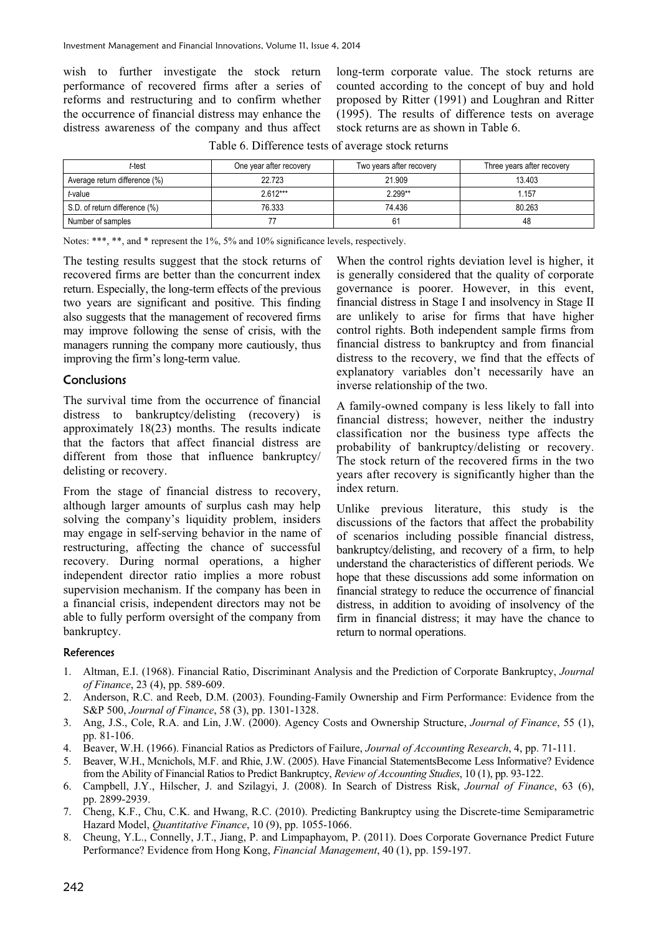wish to further investigate the stock return performance of recovered firms after a series of reforms and restructuring and to confirm whether the occurrence of financial distress may enhance the distress awareness of the company and thus affect long-term corporate value. The stock returns are counted according to the concept of buy and hold proposed by Ritter (1991) and Loughran and Ritter (1995). The results of difference tests on average stock returns are as shown in Table 6.

| t-test                        | One year after recovery | Two years after recovery | Three years after recovery |
|-------------------------------|-------------------------|--------------------------|----------------------------|
| Average return difference (%) | 22.723                  | 21.909                   | 13.403                     |
| t-value                       | $2.612***$              | $2.299**$                | l.157                      |
| S.D. of return difference (%) | 76.333                  | 74.436                   | 80.263                     |
| Number of samples             |                         | 61                       | 48                         |

Table 6. Difference tests of average stock returns

Notes: \*\*\*, \*\*, and \* represent the 1%, 5% and 10% significance levels, respectively.

The testing results suggest that the stock returns of recovered firms are better than the concurrent index return. Especially, the long-term effects of the previous two years are significant and positive. This finding also suggests that the management of recovered firms may improve following the sense of crisis, with the managers running the company more cautiously, thus improving the firm's long-term value.

#### **Conclusions**

The survival time from the occurrence of financial distress to bankruptcy/delisting (recovery) is approximately 18(23) months. The results indicate that the factors that affect financial distress are different from those that influence bankruptcy/ delisting or recovery.

From the stage of financial distress to recovery, although larger amounts of surplus cash may help solving the company's liquidity problem, insiders may engage in self-serving behavior in the name of restructuring, affecting the chance of successful recovery. During normal operations, a higher independent director ratio implies a more robust supervision mechanism. If the company has been in a financial crisis, independent directors may not be able to fully perform oversight of the company from bankruptcy.

When the control rights deviation level is higher, it is generally considered that the quality of corporate governance is poorer. However, in this event, financial distress in Stage I and insolvency in Stage II are unlikely to arise for firms that have higher control rights. Both independent sample firms from financial distress to bankruptcy and from financial distress to the recovery, we find that the effects of explanatory variables don't necessarily have an inverse relationship of the two.

A family-owned company is less likely to fall into financial distress; however, neither the industry classification nor the business type affects the probability of bankruptcy/delisting or recovery. The stock return of the recovered firms in the two years after recovery is significantly higher than the index return.

Unlike previous literature, this study is the discussions of the factors that affect the probability of scenarios including possible financial distress, bankruptcy/delisting, and recovery of a firm, to help understand the characteristics of different periods. We hope that these discussions add some information on financial strategy to reduce the occurrence of financial distress, in addition to avoiding of insolvency of the firm in financial distress; it may have the chance to return to normal operations.

#### **References**

- 1. Altman, E.I. (1968). Financial Ratio, Discriminant Analysis and the Prediction of Corporate Bankruptcy, *Journal of Finance*, 23 (4), pp. 589-609.
- 2. Anderson, R.C. and Reeb, D.M. (2003). Founding-Family Ownership and Firm Performance: Evidence from the S&P 500, *Journal of Finance*, 58 (3), pp. 1301-1328.
- 3. Ang, J.S., Cole, R.A. and Lin, J.W. (2000). Agency Costs and Ownership Structure, *Journal of Finance*, 55 (1), pp. 81-106.
- 4. Beaver, W.H. (1966). Financial Ratios as Predictors of Failure, *Journal of Accounting Research*, 4, pp. 71-111.
- 5. Beaver, W.H., Mcnichols, M.F. and Rhie, J.W. (2005). Have Financial StatementsBecome Less Informative? Evidence from the Ability of Financial Ratios to Predict Bankruptcy, *Review of Accounting Studies*, 10 (1), pp. 93-122.
- 6. Campbell, J.Y., Hilscher, J. and Szilagyi, J. (2008). In Search of Distress Risk, *Journal of Finance*, 63 (6), pp. 2899-2939.
- 7. Cheng, K.F., Chu, C.K. and Hwang, R.C. (2010). Predicting Bankruptcy using the Discrete-time Semiparametric Hazard Model, *Quantitative Finance*, 10 (9), pp. 1055-1066.
- 8. Cheung, Y.L., Connelly, J.T., Jiang, P. and Limpaphayom, P. (2011). Does Corporate Governance Predict Future Performance? Evidence from Hong Kong, *Financial Management*, 40 (1), pp. 159-197.